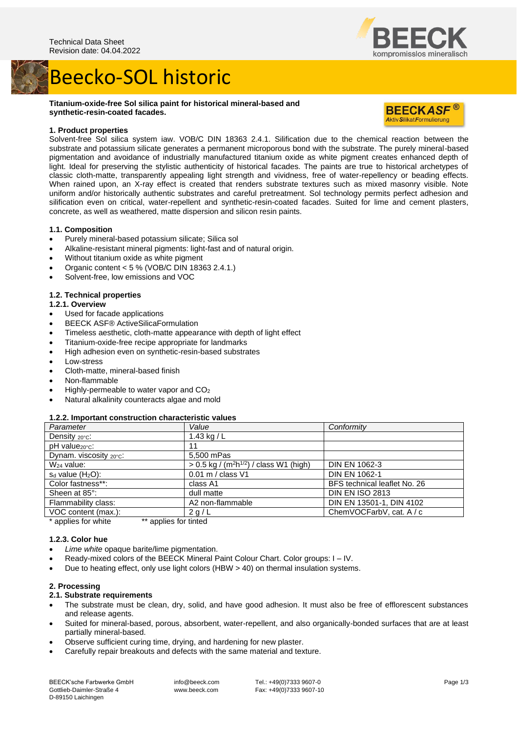## Beecko-SOL historic





ompromisslos mineralisch

## **1. Product properties**

Solvent-free Sol silica system iaw. VOB/C DIN 18363 2.4.1. Silification due to the chemical reaction between the substrate and potassium silicate generates a permanent microporous bond with the substrate. The purely mineral-based pigmentation and avoidance of industrially manufactured titanium oxide as white pigment creates enhanced depth of light. Ideal for preserving the stylistic authenticity of historical facades. The paints are true to historical archetypes of classic cloth-matte, transparently appealing light strength and vividness, free of water-repellency or beading effects. When rained upon, an X-ray effect is created that renders substrate textures such as mixed masonry visible. Note uniform and/or historically authentic substrates and careful pretreatment. Sol technology permits perfect adhesion and silification even on critical, water-repellent and synthetic-resin-coated facades. Suited for lime and cement plasters, concrete, as well as weathered, matte dispersion and silicon resin paints.

## **1.1. Composition**

- Purely mineral-based potassium silicate; Silica sol
- Alkaline-resistant mineral pigments: light-fast and of natural origin.
- Without titanium oxide as white pigment
- Organic content < 5 % (VOB/C DIN 18363 2.4.1.)
- Solvent-free, low emissions and VOC

#### **1.2. Technical properties**

## **1.2.1. Overview**

- Used for facade applications
- BEECK ASF® ActiveSilicaFormulation
- Timeless aesthetic, cloth-matte appearance with depth of light effect
- Titanium-oxide-free recipe appropriate for landmarks
- High adhesion even on synthetic-resin-based substrates
- Low-stress
- Cloth-matte, mineral-based finish
- Non-flammable
- Highly-permeable to water vapor and CO<sup>2</sup>
- Natural alkalinity counteracts algae and mold

#### **1.2.2. Important construction characteristic values**

| Parameter                  | Value                                                             | Conformity                   |
|----------------------------|-------------------------------------------------------------------|------------------------------|
| Density 20°C:              | 1.43 kg / $L$                                                     |                              |
| pH value <sub>20°C</sub> : | 11                                                                |                              |
| Dynam. viscosity 20°C:     | 5.500 mPas                                                        |                              |
| $W24$ value:               | $> 0.5$ kg / (m <sup>2</sup> h <sup>1/2</sup> ) / class W1 (high) | <b>DIN EN 1062-3</b>         |
| $s_d$ value $(H_2O)$ :     | 0.01 m / class V1                                                 | <b>DIN EN 1062-1</b>         |
| Color fastness**:          | class A1                                                          | BFS technical leaflet No. 26 |
| Sheen at 85°:              | dull matte                                                        | <b>DIN EN ISO 2813</b>       |
| Flammability class:        | A2 non-flammable                                                  | DIN EN 13501-1, DIN 4102     |
| VOC content (max.):        | 2 g/L                                                             | ChemVOCFarbV, cat. A / c     |
|                            |                                                                   |                              |

applies for white \*\* applies for tinted

#### **1.2.3. Color hue**

- Lime white opaque barite/lime pigmentation.
- Ready-mixed colors of the BEECK Mineral Paint Colour Chart. Color groups: I IV.
- Due to heating effect, only use light colors (HBW > 40) on thermal insulation systems.

## **2. Processing**

## **2.1. Substrate requirements**

- The substrate must be clean, dry, solid, and have good adhesion. It must also be free of efflorescent substances and release agents.
- Suited for mineral-based, porous, absorbent, water-repellent, and also organically-bonded surfaces that are at least partially mineral-based.
- Observe sufficient curing time, drying, and hardening for new plaster.
- Carefully repair breakouts and defects with the same material and texture.

info@beeck.com www.beeck.com

Tel.: +49(0)7333 9607-0 Fax: +49(0)7333 9607-10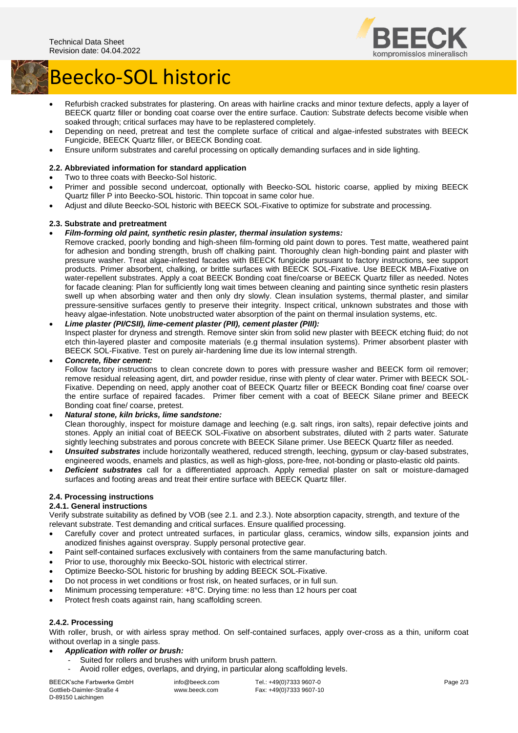

# Beecko-SOL historic

- Refurbish cracked substrates for plastering. On areas with hairline cracks and minor texture defects, apply a layer of BEECK quartz filler or bonding coat coarse over the entire surface. Caution: Substrate defects become visible when soaked through; critical surfaces may have to be replastered completely.
- Depending on need, pretreat and test the complete surface of critical and algae-infested substrates with BEECK Fungicide, BEECK Quartz filler, or BEECK Bonding coat.
- Ensure uniform substrates and careful processing on optically demanding surfaces and in side lighting.

## **2.2. Abbreviated information for standard application**

- Two to three coats with Beecko-Sol historic.
- Primer and possible second undercoat, optionally with Beecko-SOL historic coarse, applied by mixing BEECK Quartz filler P into Beecko-SOL historic. Thin topcoat in same color hue.
- Adjust and dilute Beecko-SOL historic with BEECK SOL-Fixative to optimize for substrate and processing.

## **2.3. Substrate and pretreatment**

- *Film-forming old paint, synthetic resin plaster, thermal insulation systems:*
	- Remove cracked, poorly bonding and high-sheen film-forming old paint down to pores. Test matte, weathered paint for adhesion and bonding strength, brush off chalking paint. Thoroughly clean high-bonding paint and plaster with pressure washer. Treat algae-infested facades with BEECK fungicide pursuant to factory instructions, see support products. Primer absorbent, chalking, or brittle surfaces with BEECK SOL-Fixative. Use BEECK MBA-Fixative on water-repellent substrates. Apply a coat BEECK Bonding coat fine/coarse or BEECK Quartz filler as needed. Notes for facade cleaning: Plan for sufficiently long wait times between cleaning and painting since synthetic resin plasters swell up when absorbing water and then only dry slowly. Clean insulation systems, thermal plaster, and similar pressure-sensitive surfaces gently to preserve their integrity. Inspect critical, unknown substrates and those with heavy algae-infestation. Note unobstructed water absorption of the paint on thermal insulation systems, etc.
- *Lime plaster (PI/CSII), lime-cement plaster (PII), cement plaster (PIII):* Inspect plaster for dryness and strength. Remove sinter skin from solid new plaster with BEECK etching fluid: do not etch thin-layered plaster and composite materials (e.g thermal insulation systems). Primer absorbent plaster with BEECK SOL-Fixative. Test on purely air-hardening lime due its low internal strength.

## • *Concrete, fiber cement:*

Follow factory instructions to clean concrete down to pores with pressure washer and BEECK form oil remover; remove residual releasing agent, dirt, and powder residue, rinse with plenty of clear water. Primer with BEECK SOL-Fixative. Depending on need, apply another coat of BEECK Quartz filler or BEECK Bonding coat fine/ coarse over the entire surface of repaired facades. Primer fiber cement with a coat of BEECK Silane primer and BEECK Bonding coat fine/ coarse, pretest.

## • *Natural stone, kiln bricks, lime sandstone:*

Clean thoroughly, inspect for moisture damage and leeching (e.g. salt rings, iron salts), repair defective joints and stones. Apply an initial coat of BEECK SOL-Fixative on absorbent substrates, diluted with 2 parts water. Saturate sightly leeching substrates and porous concrete with BEECK Silane primer. Use BEECK Quartz filler as needed.

- *Unsuited substrates* include horizontally weathered, reduced strength, leeching, gypsum or clay-based substrates, engineered woods, enamels and plastics, as well as high-gloss, pore-free, not-bonding or plasto-elastic old paints.
- *Deficient substrates* call for a differentiated approach. Apply remedial plaster on salt or moisture-damaged surfaces and footing areas and treat their entire surface with BEECK Quartz filler.

## **2.4. Processing instructions**

## **2.4.1. General instructions**

Verify substrate suitability as defined by VOB (see 2.1. and 2.3.). Note absorption capacity, strength, and texture of the relevant substrate. Test demanding and critical surfaces. Ensure qualified processing.

- Carefully cover and protect untreated surfaces, in particular glass, ceramics, window sills, expansion joints and anodized finishes against overspray. Supply personal protective gear.
- Paint self-contained surfaces exclusively with containers from the same manufacturing batch.
- Prior to use, thoroughly mix Beecko-SOL historic with electrical stirrer.
- Optimize Beecko-SOL historic for brushing by adding BEECK SOL-Fixative.
- Do not process in wet conditions or frost risk, on heated surfaces, or in full sun.
- Minimum processing temperature: +8°C. Drying time: no less than 12 hours per coat
- Protect fresh coats against rain, hang scaffolding screen.

## **2.4.2. Processing**

With roller, brush, or with airless spray method. On self-contained surfaces, apply over-cross as a thin, uniform coat without overlap in a single pass.

- *Application with roller or brush:*
	- Suited for rollers and brushes with uniform brush pattern.
	- Avoid roller edges, overlaps, and drying, in particular along scaffolding levels.

BEECK'sche Farbwerke GmbH Gottlieb-Daimler-Straße 4 D-89150 Laichingen

info@beeck.com www.beeck.com

Tel.: +49(0)7333 9607-0 Fax: +49(0)7333 9607-10